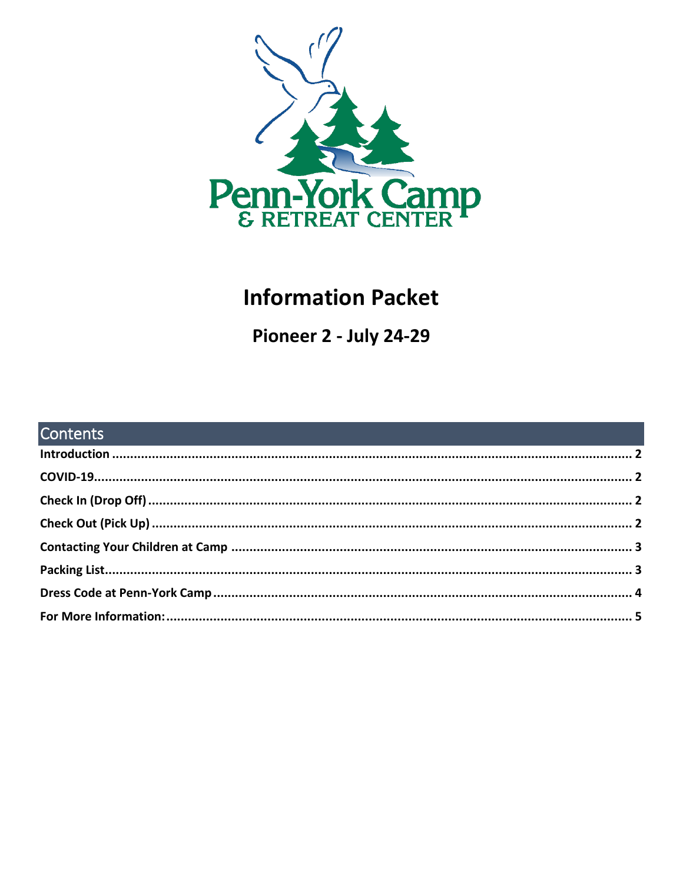

# **Information Packet**

Pioneer 2 - July 24-29

| <b>Contents Contents</b> |  |
|--------------------------|--|
|                          |  |
|                          |  |
|                          |  |
|                          |  |
|                          |  |
|                          |  |
|                          |  |
|                          |  |
|                          |  |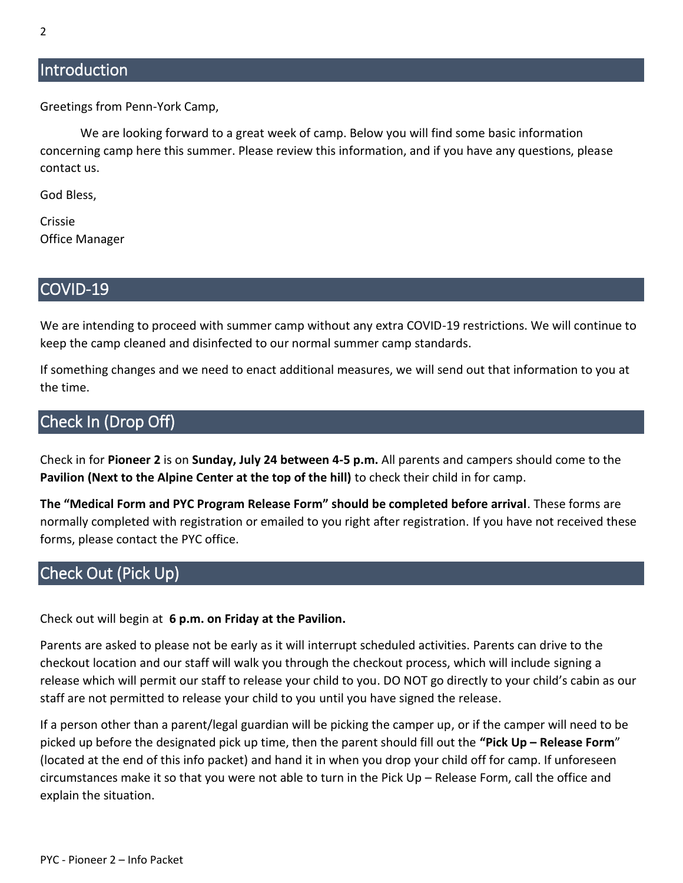### <span id="page-1-0"></span>**Introduction**

Greetings from Penn-York Camp,

We are looking forward to a great week of camp. Below you will find some basic information concerning camp here this summer. Please review this information, and if you have any questions, please contact us.

God Bless,

Crissie Office Manager

#### <span id="page-1-1"></span>COVID-19

We are intending to proceed with summer camp without any extra COVID-19 restrictions. We will continue to keep the camp cleaned and disinfected to our normal summer camp standards.

If something changes and we need to enact additional measures, we will send out that information to you at the time.

# <span id="page-1-2"></span>Check In (Drop Off)

Check in for **Pioneer 2** is on **Sunday, July 24 between 4-5 p.m.** All parents and campers should come to the **Pavilion (Next to the Alpine Center at the top of the hill)** to check their child in for camp.

**The "Medical Form and PYC Program Release Form" should be completed before arrival**. These forms are normally completed with registration or emailed to you right after registration. If you have not received these forms, please contact the PYC office.

# <span id="page-1-3"></span>Check Out (Pick Up)

Check out will begin at **6 p.m. on Friday at the Pavilion.**

Parents are asked to please not be early as it will interrupt scheduled activities. Parents can drive to the checkout location and our staff will walk you through the checkout process, which will include signing a release which will permit our staff to release your child to you. DO NOT go directly to your child's cabin as our staff are not permitted to release your child to you until you have signed the release.

If a person other than a parent/legal guardian will be picking the camper up, or if the camper will need to be picked up before the designated pick up time, then the parent should fill out the **"Pick Up – Release Form**" (located at the end of this info packet) and hand it in when you drop your child off for camp. If unforeseen circumstances make it so that you were not able to turn in the Pick Up – Release Form, call the office and explain the situation.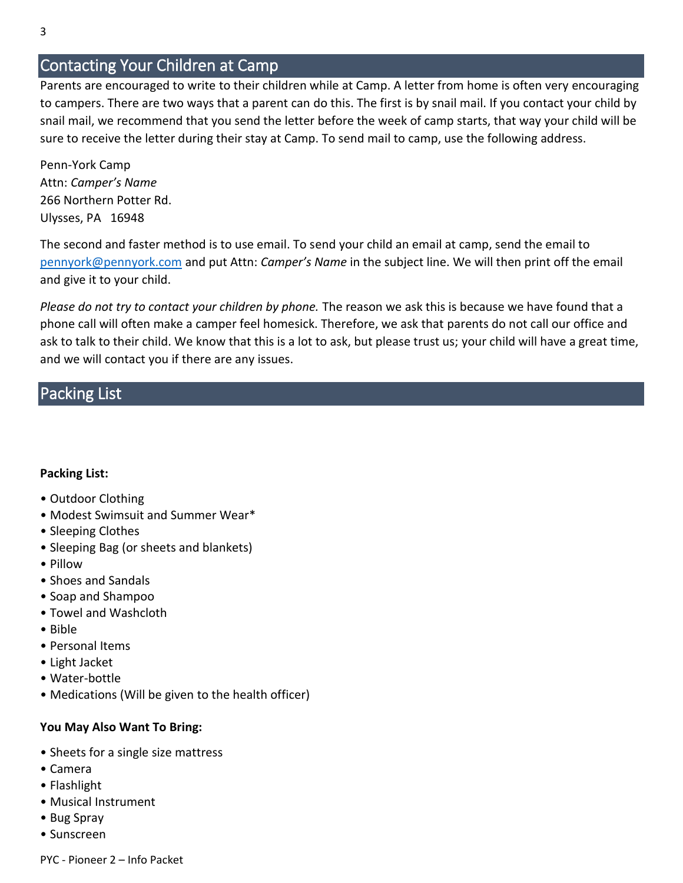# <span id="page-2-0"></span>Contacting Your Children at Camp

Parents are encouraged to write to their children while at Camp. A letter from home is often very encouraging to campers. There are two ways that a parent can do this. The first is by snail mail. If you contact your child by snail mail, we recommend that you send the letter before the week of camp starts, that way your child will be sure to receive the letter during their stay at Camp. To send mail to camp, use the following address.

Penn-York Camp Attn: *Camper's Name* 266 Northern Potter Rd. Ulysses, PA 16948

The second and faster method is to use email. To send your child an email at camp, send the email to [pennyork@pennyork.com](mailto:pennyork@pennyork.com) and put Attn: *Camper's Name* in the subject line. We will then print off the email and give it to your child.

*Please do not try to contact your children by phone.* The reason we ask this is because we have found that a phone call will often make a camper feel homesick. Therefore, we ask that parents do not call our office and ask to talk to their child. We know that this is a lot to ask, but please trust us; your child will have a great time, and we will contact you if there are any issues.

# <span id="page-2-1"></span>Packing List

#### **Packing List:**

- Outdoor Clothing
- Modest Swimsuit and Summer Wear\*
- Sleeping Clothes
- Sleeping Bag (or sheets and blankets)
- Pillow
- Shoes and Sandals
- Soap and Shampoo
- Towel and Washcloth
- Bible
- Personal Items
- Light Jacket
- Water-bottle
- Medications (Will be given to the health officer)

#### **You May Also Want To Bring:**

- Sheets for a single size mattress
- Camera
- Flashlight
- Musical Instrument
- Bug Spray
- Sunscreen

PYC - Pioneer 2 – Info Packet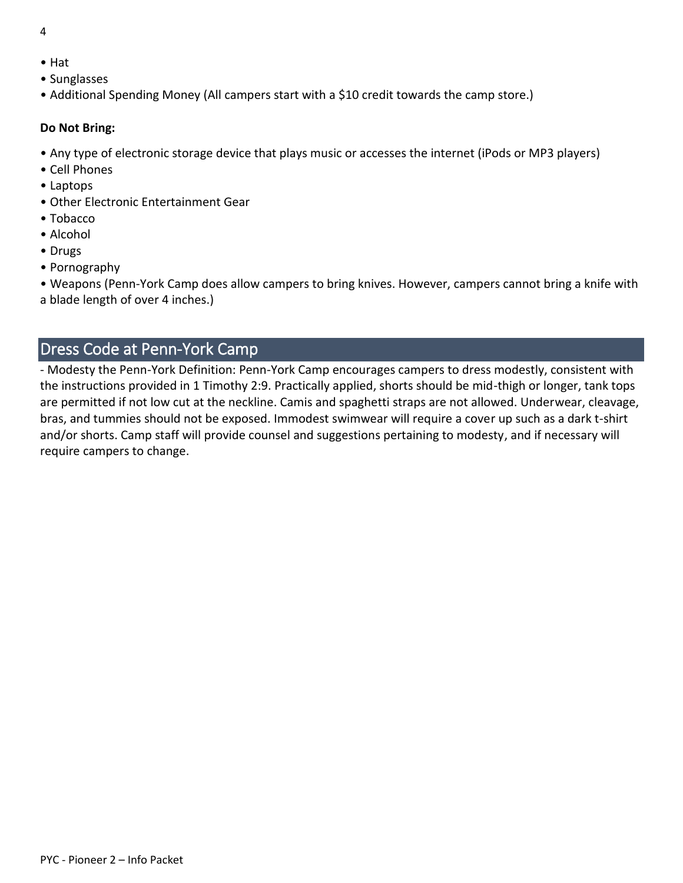- 4
- Hat
- Sunglasses
- Additional Spending Money (All campers start with a \$10 credit towards the camp store.)

#### **Do Not Bring:**

- Any type of electronic storage device that plays music or accesses the internet (iPods or MP3 players)
- Cell Phones
- Laptops
- Other Electronic Entertainment Gear
- Tobacco
- Alcohol
- Drugs
- Pornography

• Weapons (Penn-York Camp does allow campers to bring knives. However, campers cannot bring a knife with a blade length of over 4 inches.)

# <span id="page-3-0"></span>Dress Code at Penn-York Camp

- Modesty the Penn-York Definition: Penn-York Camp encourages campers to dress modestly, consistent with the instructions provided in 1 Timothy 2:9. Practically applied, shorts should be mid-thigh or longer, tank tops are permitted if not low cut at the neckline. Camis and spaghetti straps are not allowed. Underwear, cleavage, bras, and tummies should not be exposed. Immodest swimwear will require a cover up such as a dark t-shirt and/or shorts. Camp staff will provide counsel and suggestions pertaining to modesty, and if necessary will require campers to change.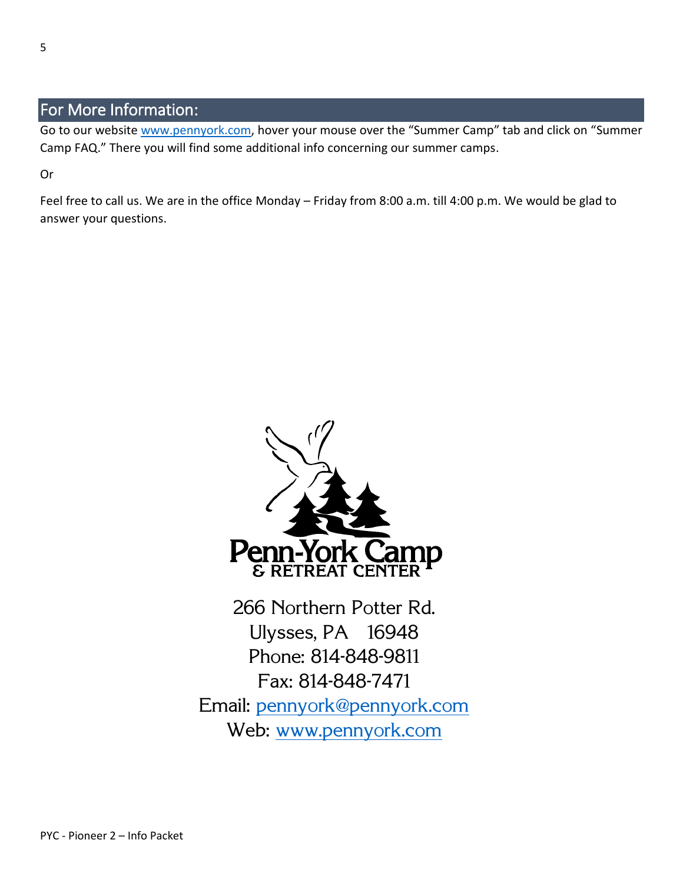# <span id="page-4-0"></span>For More Information:

Go to our website [www.pennyork.com,](http://www.pennyork.com/) hover your mouse over the "Summer Camp" tab and click on "Summer Camp FAQ." There you will find some additional info concerning our summer camps.

Or

Feel free to call us. We are in the office Monday – Friday from 8:00 a.m. till 4:00 p.m. We would be glad to answer your questions.